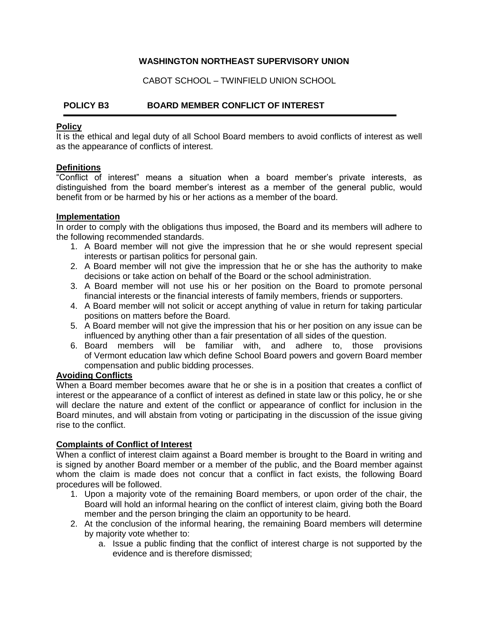## **WASHINGTON NORTHEAST SUPERVISORY UNION**

CABOT SCHOOL – TWINFIELD UNION SCHOOL

# **POLICY B3 BOARD MEMBER CONFLICT OF INTEREST**

#### **Policy**

It is the ethical and legal duty of all School Board members to avoid conflicts of interest as well as the appearance of conflicts of interest.

## **Definitions**

"Conflict of interest" means a situation when a board member's private interests, as distinguished from the board member's interest as a member of the general public, would benefit from or be harmed by his or her actions as a member of the board.

#### **Implementation**

In order to comply with the obligations thus imposed, the Board and its members will adhere to the following recommended standards.

- 1. A Board member will not give the impression that he or she would represent special interests or partisan politics for personal gain.
- 2. A Board member will not give the impression that he or she has the authority to make decisions or take action on behalf of the Board or the school administration.
- 3. A Board member will not use his or her position on the Board to promote personal financial interests or the financial interests of family members, friends or supporters.
- 4. A Board member will not solicit or accept anything of value in return for taking particular positions on matters before the Board.
- 5. A Board member will not give the impression that his or her position on any issue can be influenced by anything other than a fair presentation of all sides of the question.
- 6. Board members will be familiar with, and adhere to, those provisions of Vermont education law which define School Board powers and govern Board member compensation and public bidding processes.

#### **Avoiding Conflicts**

When a Board member becomes aware that he or she is in a position that creates a conflict of interest or the appearance of a conflict of interest as defined in state law or this policy, he or she will declare the nature and extent of the conflict or appearance of conflict for inclusion in the Board minutes, and will abstain from voting or participating in the discussion of the issue giving rise to the conflict.

## **Complaints of Conflict of Interest**

When a conflict of interest claim against a Board member is brought to the Board in writing and is signed by another Board member or a member of the public, and the Board member against whom the claim is made does not concur that a conflict in fact exists, the following Board procedures will be followed.

- 1. Upon a majority vote of the remaining Board members, or upon order of the chair, the Board will hold an informal hearing on the conflict of interest claim, giving both the Board member and the person bringing the claim an opportunity to be heard.
- 2. At the conclusion of the informal hearing, the remaining Board members will determine by majority vote whether to:
	- a. Issue a public finding that the conflict of interest charge is not supported by the evidence and is therefore dismissed;